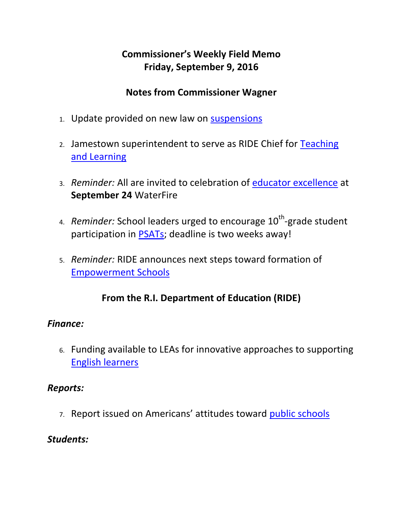# **Commissioner's Weekly Field Memo Friday, September 9, 2016**

#### **Notes from Commissioner Wagner**

- 1. Update provided on new law on [suspensions](#page-3-0)
- 2. Jamestown superintendent to serve as RIDE Chief for Teaching and Learning
- 3. *Reminder:* All are invited to celebration of educator excellence at **September 24** WaterFire
- 4. Reminder: School leaders urged to encourage 10<sup>th</sup>-grade student participation in [PSATs;](#page-4-0) deadline is two weeks away!
- 5. *Reminder:* RIDE announces next steps toward formation of [Empowerment Schools](#page-6-0)

## **From the R.I. Department of Education (RIDE)**

#### *Finance:*

6. Funding available to LEAs for innovative approaches to supporting [English learners](#page-7-0)

## *Reports:*

7. Report issued on Americans' attitudes toward [public schools](#page-9-0)

## *Students:*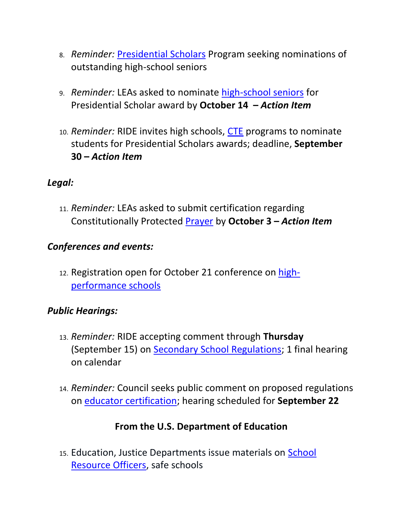- 8. *Reminder:* [Presidential Scholars](#page-9-1) Program seeking nominations of outstanding high-school seniors
- 9. *Reminder:* LEAs asked to nominate [high-school seniors](#page-10-0) for Presidential Scholar award by **October 14 –** *Action Item*
- 10. *Reminder:* RIDE invites high schools, [CTE](#page-12-0) programs to nominate students for Presidential Scholars awards; deadline, **September 30 –** *Action Item*

#### *Legal:*

11. *Reminder:* LEAs asked to submit certification regarding Constitutionally Protected [Prayer](#page-14-0) by **October 3 –** *Action Item*

## *Conferences and events:*

12. Registration open for October 21 conference on [high](#page-16-0)[performance schools](#page-16-0)

## *Public Hearings:*

- 13. *Reminder:* RIDE accepting comment through **Thursday**  (September 15) on **Secondary School Regulations**; 1 final hearing on calendar
- 14. *Reminder:* Council seeks public comment on proposed regulations on [educator certification;](#page-18-0) hearing scheduled for **September 22**

## **From the U.S. Department of Education**

15. Education, Justice Departments issue materials on **School** [Resource Officers,](#page-19-0) safe schools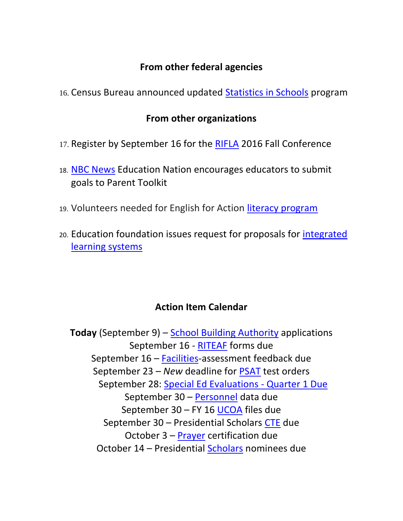#### **From other federal agencies**

16. Census Bureau announced updated [Statistics in Schools](#page-20-0) program

#### **From other organizations**

- 17. Register by September 16 for the [RIFLA](#page-21-0) 2016 Fall Conference
- 18. [NBC News](#page-22-0) Education Nation encourages educators to submit goals to Parent Toolkit
- 19. Volunteers needed for English for Action [literacy program](#page-23-0)
- 20. Education foundation issues request for proposals for [integrated](#page-23-1)  [learning systems](#page-23-1)

#### **Action Item Calendar**

**Today** (September 9) – [School Building Authority](http://ride.ri.gov/Portals/0/Uploads/Documents/FieldMemos/072916-FM.pdf) applications September 16 - [RITEAF](http://www.ride.ri.gov/Portals/0/Uploads/Documents/FieldMemos/081216-FM.pdf) forms due September 16 – [Facilities-](http://www.ride.ri.gov/Portals/0/Uploads/Documents/FieldMemos/082616-FM.pdf)assessment feedback due September 23 – *New* deadline for [PSAT](http://www.ride.ri.gov/Portals/0/Uploads/Documents/FieldMemos/081216-FM.pdf) test orders September 28: [Special Ed Evaluations -](https://www.eride.ri.gov/eRide40/DataDictionary/ViewDetails.aspx?ID=338) Quarter 1 Due September 30 – [Personnel](http://ride.ri.gov/Portals/0/Uploads/Documents/FieldMemos/080516-FM.pdf) data due September 30 – FY 16 [UCOA](http://www.ride.ri.gov/Portals/0/Uploads/Documents/FieldMemos/081916-FM.pdf) files due September 30 – Presidential Scholars [CTE](http://www.ride.ri.gov/Portals/0/Uploads/Documents/FieldMemos/090216-FM.pdf) due October 3 – [Prayer](http://www.ride.ri.gov/Portals/0/Uploads/Documents/FieldMemos/090216-FM.pdf) certification due October 14 – Presidential [Scholars](http://www.ride.ri.gov/Portals/0/Uploads/Documents/FieldMemos/090216-FM.pdf) nominees due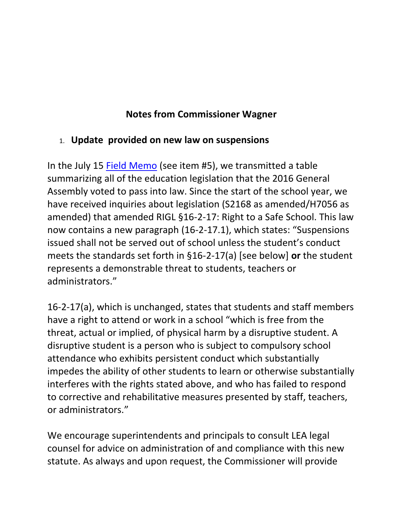## **Notes from Commissioner Wagner**

## <span id="page-3-0"></span>1. **Update provided on new law on suspensions**

In the July 15 [Field Memo](http://www.ride.ri.gov/Portals/0/Uploads/Documents/FieldMemos/071516-FM.pdf) (see item #5), we transmitted a table summarizing all of the education legislation that the 2016 General Assembly voted to pass into law. Since the start of the school year, we have received inquiries about legislation (S2168 as amended/H7056 as amended) that amended RIGL §16-2-17: Right to a Safe School. This law now contains a new paragraph (16-2-17.1), which states: "Suspensions issued shall not be served out of school unless the student's conduct meets the standards set forth in §16-2-17(a) [see below] **or** the student represents a demonstrable threat to students, teachers or administrators."

16-2-17(a), which is unchanged, states that students and staff members have a right to attend or work in a school "which is free from the threat, actual or implied, of physical harm by a disruptive student. A disruptive student is a person who is subject to compulsory school attendance who exhibits persistent conduct which substantially impedes the ability of other students to learn or otherwise substantially interferes with the rights stated above, and who has failed to respond to corrective and rehabilitative measures presented by staff, teachers, or administrators."

We encourage superintendents and principals to consult LEA legal counsel for advice on administration of and compliance with this new statute. As always and upon request, the Commissioner will provide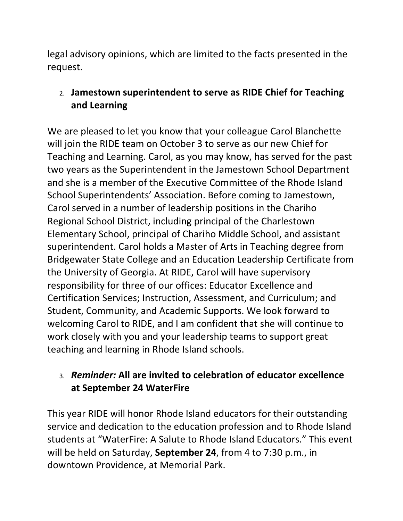legal advisory opinions, which are limited to the facts presented in the request.

# 2. **Jamestown superintendent to serve as RIDE Chief for Teaching and Learning**

We are pleased to let you know that your colleague Carol Blanchette will join the RIDE team on October 3 to serve as our new Chief for Teaching and Learning. Carol, as you may know, has served for the past two years as the Superintendent in the Jamestown School Department and she is a member of the Executive Committee of the Rhode Island School Superintendents' Association. Before coming to Jamestown, Carol served in a number of leadership positions in the Chariho Regional School District, including principal of the Charlestown Elementary School, principal of Chariho Middle School, and assistant superintendent. Carol holds a Master of Arts in Teaching degree from Bridgewater State College and an Education Leadership Certificate from the University of Georgia. At RIDE, Carol will have supervisory responsibility for three of our offices: Educator Excellence and Certification Services; Instruction, Assessment, and Curriculum; and Student, Community, and Academic Supports. We look forward to welcoming Carol to RIDE, and I am confident that she will continue to work closely with you and your leadership teams to support great teaching and learning in Rhode Island schools.

# <span id="page-4-0"></span>3. *Reminder:* **All are invited to celebration of educator excellence at September 24 WaterFire**

This year RIDE will honor Rhode Island educators for their outstanding service and dedication to the education profession and to Rhode Island students at "WaterFire: A Salute to Rhode Island Educators." This event will be held on Saturday, **September 24**, from 4 to 7:30 p.m., in downtown Providence, at Memorial Park.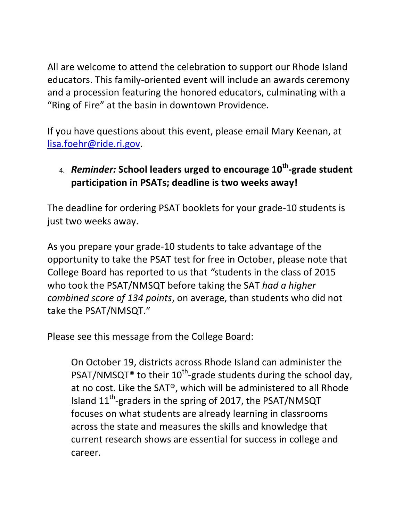All are welcome to attend the celebration to support our Rhode Island educators. This family-oriented event will include an awards ceremony and a procession featuring the honored educators, culminating with a "Ring of Fire" at the basin in downtown Providence.

If you have questions about this event, please email Mary Keenan, at [lisa.foehr@ride.ri.gov.](mailto:lisa.foehr@ride.ri.gov)

# 4. *Reminder:* **School leaders urged to encourage 10th -grade student participation in PSATs; deadline is two weeks away!**

The deadline for ordering PSAT booklets for your grade-10 students is just two weeks away.

As you prepare your grade-10 students to take advantage of the opportunity to take the PSAT test for free in October, please note that College Board has reported to us that *"*students in the class of 2015 who took the PSAT/NMSQT before taking the SAT *had a higher combined score of 134 points*, on average, than students who did not take the PSAT/NMSQT."

Please see this message from the College Board:

On October 19, districts across Rhode Island can administer the PSAT/NMSQT<sup>®</sup> to their 10<sup>th</sup>-grade students during the school day, at no cost. Like the SAT®, which will be administered to all Rhode Island  $11^{th}$ -graders in the spring of 2017, the PSAT/NMSQT focuses on what students are already learning in classrooms across the state and measures the skills and knowledge that current research shows are essential for success in college and career.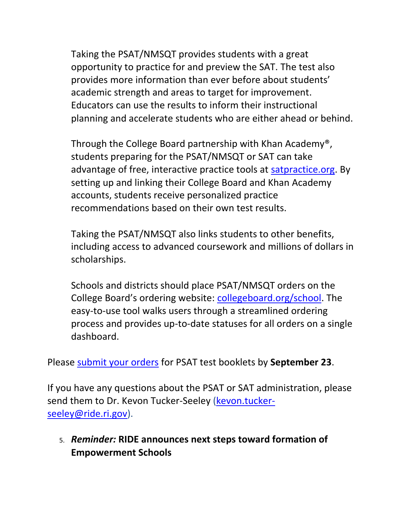Taking the PSAT/NMSQT provides students with a great opportunity to practice for and preview the SAT. The test also provides more information than ever before about students' academic strength and areas to target for improvement. Educators can use the results to inform their instructional planning and accelerate students who are either ahead or behind.

Through the College Board partnership with Khan Academy®, students preparing for the PSAT/NMSQT or SAT can take advantage of free, interactive practice tools at [satpractice.org.](https://www.khanacademy.org/sat) By setting up and linking their College Board and Khan Academy accounts, students receive personalized practice recommendations based on their own test results.

Taking the PSAT/NMSQT also links students to other benefits, including access to advanced coursework and millions of dollars in scholarships.

Schools and districts should place PSAT/NMSQT orders on the College Board's ordering website: [collegeboard.org/school.](http://www.collegeboard.com/school/) The easy-to-use tool walks users through a streamlined ordering process and provides up-to-date statuses for all orders on a single dashboard.

Please [submit your orders](http://www.collegeboard.com/school/) for PSAT test booklets by **September 23**.

If you have any questions about the PSAT or SAT administration, please send them to Dr. Kevon Tucker-Seeley [\(kevon.tucker](mailto:kevon.tucker-seeley@ride.ri.gov)[seeley@ride.ri.gov\)](mailto:kevon.tucker-seeley@ride.ri.gov).

<span id="page-6-0"></span>5. *Reminder:* **RIDE announces next steps toward formation of Empowerment Schools**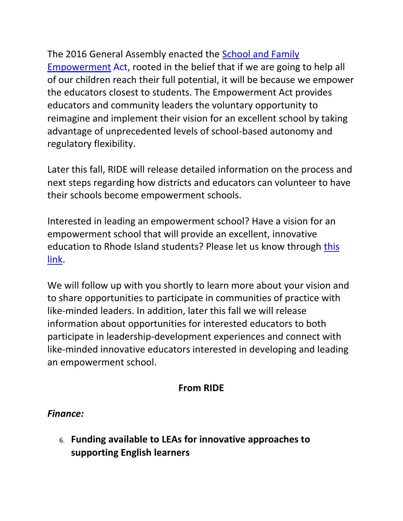The 2016 General Assembly enacted the [School and Family](http://www.ride.ri.gov/Portals/0/Uploads/Documents/Inside-RIDE/Empowerment/Article_11-EmpowermentActText.pdf)  [Empowerment](http://www.ride.ri.gov/Portals/0/Uploads/Documents/Inside-RIDE/Empowerment/Article_11-EmpowermentActText.pdf) Act, rooted in the belief that if we are going to help all of our children reach their full potential, it will be because we empower the educators closest to students. The Empowerment Act provides educators and community leaders the voluntary opportunity to reimagine and implement their vision for an excellent school by taking advantage of unprecedented levels of school-based autonomy and regulatory flexibility.

Later this fall, RIDE will release detailed information on the process and next steps regarding how districts and educators can volunteer to have their schools become empowerment schools.

Interested in leading an empowerment school? Have a vision for an empowerment school that will provide an excellent, innovative education to Rhode Island students? Please let us know through [this](https://docs.google.com/forms/d/e/1FAIpQLSeemUKAb59dW-E96GwVkaLhFw1K0HbQ_M0owN1F9ycglKSdVw/viewform)  [link.](https://docs.google.com/forms/d/e/1FAIpQLSeemUKAb59dW-E96GwVkaLhFw1K0HbQ_M0owN1F9ycglKSdVw/viewform)

We will follow up with you shortly to learn more about your vision and to share opportunities to participate in communities of practice with like-minded leaders. In addition, later this fall we will release information about opportunities for interested educators to both participate in leadership-development experiences and connect with like-minded innovative educators interested in developing and leading an empowerment school.

## **From RIDE**

#### *Finance:*

<span id="page-7-0"></span>6. **Funding available to LEAs for innovative approaches to supporting English learners**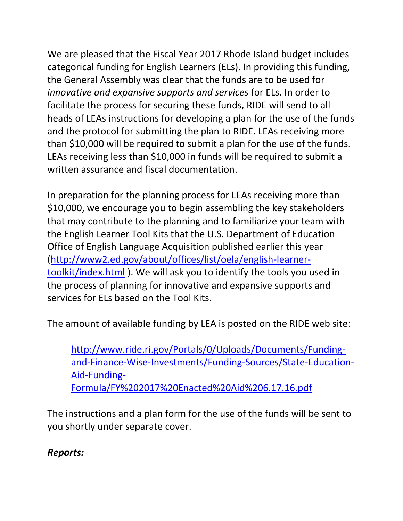We are pleased that the Fiscal Year 2017 Rhode Island budget includes categorical funding for English Learners (ELs). In providing this funding, the General Assembly was clear that the funds are to be used for *innovative and expansive supports and services* for ELs. In order to facilitate the process for securing these funds, RIDE will send to all heads of LEAs instructions for developing a plan for the use of the funds and the protocol for submitting the plan to RIDE. LEAs receiving more than \$10,000 will be required to submit a plan for the use of the funds. LEAs receiving less than \$10,000 in funds will be required to submit a written assurance and fiscal documentation.

In preparation for the planning process for LEAs receiving more than \$10,000, we encourage you to begin assembling the key stakeholders that may contribute to the planning and to familiarize your team with the English Learner Tool Kits that the U.S. Department of Education Office of English Language Acquisition published earlier this year [\(http://www2.ed.gov/about/offices/list/oela/english-learner](http://www2.ed.gov/about/offices/list/oela/english-learner-toolkit/index.html)[toolkit/index.html](http://www2.ed.gov/about/offices/list/oela/english-learner-toolkit/index.html) ). We will ask you to identify the tools you used in the process of planning for innovative and expansive supports and services for ELs based on the Tool Kits.

The amount of available funding by LEA is posted on the RIDE web site:

[http://www.ride.ri.gov/Portals/0/Uploads/Documents/Funding](http://www.ride.ri.gov/Portals/0/Uploads/Documents/Funding-and-Finance-Wise-Investments/Funding-Sources/State-Education-Aid-Funding-Formula/FY%202017%20Enacted%20Aid%206.17.16.pdf)[and-Finance-Wise-Investments/Funding-Sources/State-Education-](http://www.ride.ri.gov/Portals/0/Uploads/Documents/Funding-and-Finance-Wise-Investments/Funding-Sources/State-Education-Aid-Funding-Formula/FY%202017%20Enacted%20Aid%206.17.16.pdf)[Aid-Funding-](http://www.ride.ri.gov/Portals/0/Uploads/Documents/Funding-and-Finance-Wise-Investments/Funding-Sources/State-Education-Aid-Funding-Formula/FY%202017%20Enacted%20Aid%206.17.16.pdf)[Formula/FY%202017%20Enacted%20Aid%206.17.16.pdf](http://www.ride.ri.gov/Portals/0/Uploads/Documents/Funding-and-Finance-Wise-Investments/Funding-Sources/State-Education-Aid-Funding-Formula/FY%202017%20Enacted%20Aid%206.17.16.pdf)

The instructions and a plan form for the use of the funds will be sent to you shortly under separate cover.

*Reports:*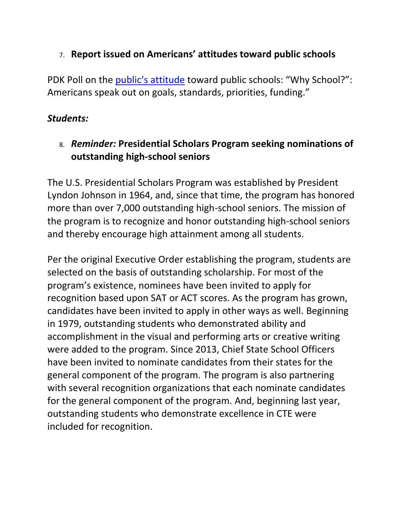#### <span id="page-9-0"></span>7. **Report issued on Americans' attitudes toward public schools**

PDK Poll on the [public's attitude](http://pdkpoll2015.pdkintl.org/) toward public schools: "Why School?": Americans speak out on goals, standards, priorities, funding."

#### *Students:*

# <span id="page-9-1"></span>8. *Reminder:* **Presidential Scholars Program seeking nominations of outstanding high-school seniors**

The U.S. Presidential Scholars Program was established by President Lyndon Johnson in 1964, and, since that time, the program has honored more than over 7,000 outstanding high-school seniors. The mission of the program is to recognize and honor outstanding high-school seniors and thereby encourage high attainment among all students.

Per the original Executive Order establishing the program, students are selected on the basis of outstanding scholarship. For most of the program's existence, nominees have been invited to apply for recognition based upon SAT or ACT scores. As the program has grown, candidates have been invited to apply in other ways as well. Beginning in 1979, outstanding students who demonstrated ability and accomplishment in the visual and performing arts or creative writing were added to the program. Since 2013, Chief State School Officers have been invited to nominate candidates from their states for the general component of the program. The program is also partnering with several recognition organizations that each nominate candidates for the general component of the program. And, beginning last year, outstanding students who demonstrate excellence in CTE were included for recognition.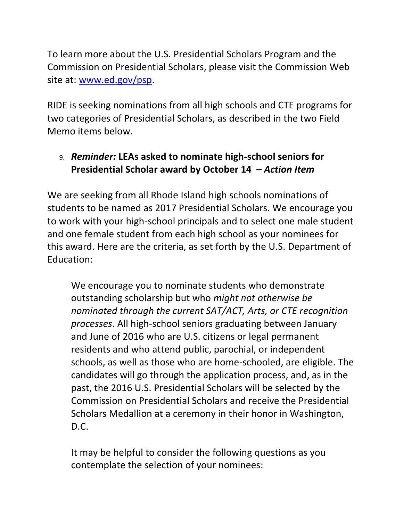To learn more about the U.S. Presidential Scholars Program and the Commission on Presidential Scholars, please visit the Commission Web site at: [www.ed.gov/psp.](http://www.ed.gov/psp)

RIDE is seeking nominations from all high schools and CTE programs for two categories of Presidential Scholars, as described in the two Field Memo items below.

# <span id="page-10-0"></span>9. *Reminder:* **LEAs asked to nominate high-school seniors for Presidential Scholar award by October 14 –** *Action Item*

We are seeking from all Rhode Island high schools nominations of students to be named as 2017 Presidential Scholars. We encourage you to work with your high-school principals and to select one male student and one female student from each high school as your nominees for this award. Here are the criteria, as set forth by the U.S. Department of Education:

We encourage you to nominate students who demonstrate outstanding scholarship but who *might not otherwise be nominated through the current SAT/ACT, Arts, or CTE recognition processes*. All high-school seniors graduating between January and June of 2016 who are U.S. citizens or legal permanent residents and who attend public, parochial, or independent schools, as well as those who are home-schooled, are eligible. The candidates will go through the application process, and, as in the past, the 2016 U.S. Presidential Scholars will be selected by the Commission on Presidential Scholars and receive the Presidential Scholars Medallion at a ceremony in their honor in Washington, D.C.

It may be helpful to consider the following questions as you contemplate the selection of your nominees: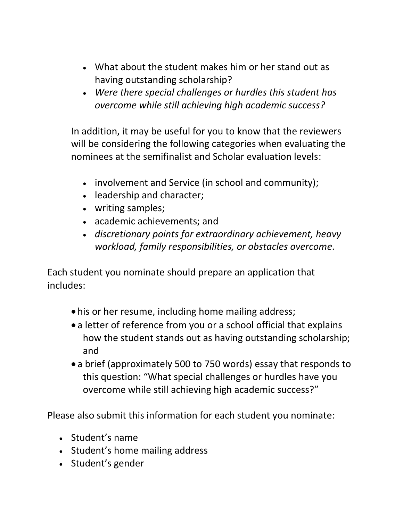- What about the student makes him or her stand out as having outstanding scholarship?
- *Were there special challenges or hurdles this student has overcome while still achieving high academic success?*

In addition, it may be useful for you to know that the reviewers will be considering the following categories when evaluating the nominees at the semifinalist and Scholar evaluation levels:

- involvement and Service (in school and community);
- leadership and character;
- writing samples;
- academic achievements; and
- *discretionary points for extraordinary achievement, heavy workload, family responsibilities, or obstacles overcome.*

Each student you nominate should prepare an application that includes:

- his or her resume, including home mailing address;
- a letter of reference from you or a school official that explains how the student stands out as having outstanding scholarship; and
- a brief (approximately 500 to 750 words) essay that responds to this question: "What special challenges or hurdles have you overcome while still achieving high academic success?"

Please also submit this information for each student you nominate:

- Student's name
- Student's home mailing address
- Student's gender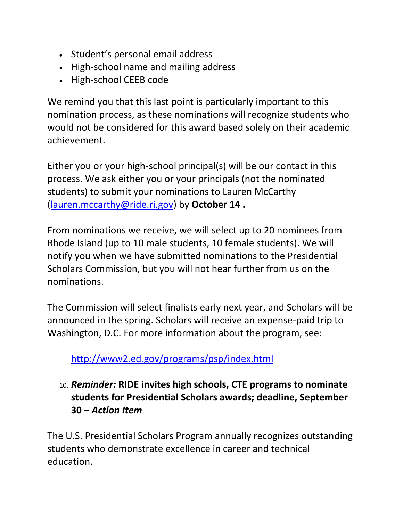- Student's personal email address
- High-school name and mailing address
- High-school CEEB code

We remind you that this last point is particularly important to this nomination process, as these nominations will recognize students who would not be considered for this award based solely on their academic achievement.

Either you or your high-school principal(s) will be our contact in this process. We ask either you or your principals (not the nominated students) to submit your nominations to Lauren McCarthy [\(lauren.mccarthy@ride.ri.gov\)](mailto:lauren.mccarthy@ride.ri.gov) by **October 14 .**

From nominations we receive, we will select up to 20 nominees from Rhode Island (up to 10 male students, 10 female students). We will notify you when we have submitted nominations to the Presidential Scholars Commission, but you will not hear further from us on the nominations.

The Commission will select finalists early next year, and Scholars will be announced in the spring. Scholars will receive an expense-paid trip to Washington, D.C. For more information about the program, see:

<http://www2.ed.gov/programs/psp/index.html>

# <span id="page-12-0"></span>10. *Reminder:* **RIDE invites high schools, CTE programs to nominate students for Presidential Scholars awards; deadline, September 30 –** *Action Item*

The U.S. Presidential Scholars Program annually recognizes outstanding students who demonstrate excellence in career and technical education.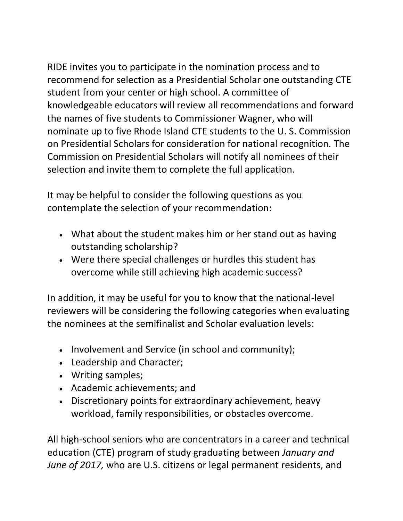RIDE invites you to participate in the nomination process and to recommend for selection as a Presidential Scholar one outstanding CTE student from your center or high school. A committee of knowledgeable educators will review all recommendations and forward the names of five students to Commissioner Wagner, who will nominate up to five Rhode Island CTE students to the U. S. Commission on Presidential Scholars for consideration for national recognition. The Commission on Presidential Scholars will notify all nominees of their selection and invite them to complete the full application.

It may be helpful to consider the following questions as you contemplate the selection of your recommendation:

- What about the student makes him or her stand out as having outstanding scholarship?
- Were there special challenges or hurdles this student has overcome while still achieving high academic success?

In addition, it may be useful for you to know that the national-level reviewers will be considering the following categories when evaluating the nominees at the semifinalist and Scholar evaluation levels:

- Involvement and Service (in school and community);
- Leadership and Character;
- Writing samples;
- Academic achievements; and
- Discretionary points for extraordinary achievement, heavy workload, family responsibilities, or obstacles overcome.

All high-school seniors who are concentrators in a career and technical education (CTE) program of study graduating between *January and June of 2017,* who are U.S. citizens or legal permanent residents, and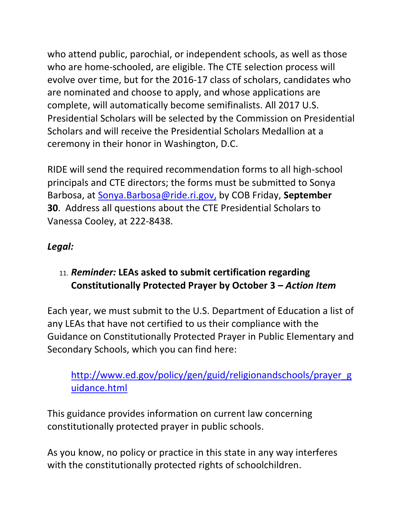who attend public, parochial, or independent schools, as well as those who are home-schooled, are eligible. The CTE selection process will evolve over time, but for the 2016-17 class of scholars, candidates who are nominated and choose to apply, and whose applications are complete, will automatically become semifinalists. All 2017 U.S. Presidential Scholars will be selected by the Commission on Presidential Scholars and will receive the Presidential Scholars Medallion at a ceremony in their honor in Washington, D.C.

RIDE will send the required recommendation forms to all high-school principals and CTE directors; the forms must be submitted to Sonya Barbosa, at [Sonya.Barbosa@ride.ri.gov,](mailto:Sonya.Barbosa@ride.ri.gov) by COB Friday, **September 30**. Address all questions about the CTE Presidential Scholars to Vanessa Cooley, at 222-8438.

# *Legal:*

# <span id="page-14-0"></span>11. *Reminder:* **LEAs asked to submit certification regarding Constitutionally Protected Prayer by October 3 –** *Action Item*

Each year, we must submit to the U.S. Department of Education a list of any LEAs that have not certified to us their compliance with the Guidance on Constitutionally Protected Prayer in Public Elementary and Secondary Schools, which you can find here:

# [http://www.ed.gov/policy/gen/guid/religionandschools/prayer\\_g](http://www.ed.gov/policy/gen/guid/religionandschools/prayer_guidance.html) [uidance.html](http://www.ed.gov/policy/gen/guid/religionandschools/prayer_guidance.html)

This guidance provides information on current law concerning constitutionally protected prayer in public schools.

As you know, no policy or practice in this state in any way interferes with the constitutionally protected rights of schoolchildren.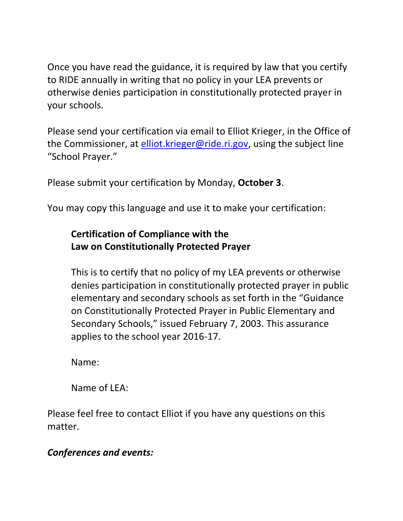Once you have read the guidance, it is required by law that you certify to RIDE annually in writing that no policy in your LEA prevents or otherwise denies participation in constitutionally protected prayer in your schools.

Please send your certification via email to Elliot Krieger, in the Office of the Commissioner, at *elliot.krieger@ride.ri.gov*, using the subject line "School Prayer."

Please submit your certification by Monday, **October 3**.

You may copy this language and use it to make your certification:

# **Certification of Compliance with the Law on Constitutionally Protected Prayer**

This is to certify that no policy of my LEA prevents or otherwise denies participation in constitutionally protected prayer in public elementary and secondary schools as set forth in the "Guidance on Constitutionally Protected Prayer in Public Elementary and Secondary Schools," issued February 7, 2003. This assurance applies to the school year 2016-17.

Name:

Name of LEA:

Please feel free to contact Elliot if you have any questions on this matter.

## *Conferences and events:*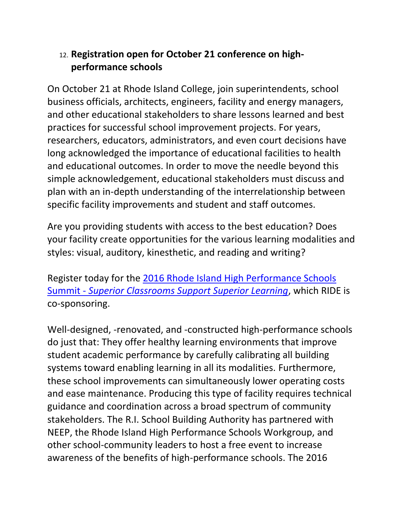# <span id="page-16-0"></span>12. **Registration open for October 21 conference on highperformance schools**

On October 21 at Rhode Island College, join superintendents, school business officials, architects, engineers, facility and energy managers, and other educational stakeholders to share lessons learned and best practices for successful school improvement projects. For years, researchers, educators, administrators, and even court decisions have long acknowledged the importance of educational facilities to health and educational outcomes. In order to move the needle beyond this simple acknowledgement, educational stakeholders must discuss and plan with an in-depth understanding of the interrelationship between specific facility improvements and student and staff outcomes.

Are you providing students with access to the best education? Does your facility create opportunities for the various learning modalities and styles: visual, auditory, kinesthetic, and reading and writing?

Register today for the [2016 Rhode Island High Performance Schools](http://www.neep.org/events/2016-rhode-island-high-performance-schools-summit)  Summit - *[Superior Classrooms Support Superior Learning](http://www.neep.org/events/2016-rhode-island-high-performance-schools-summit)*, which RIDE is co-sponsoring.

Well-designed, -renovated, and -constructed high-performance schools do just that: They offer healthy learning environments that improve student academic performance by carefully calibrating all building systems toward enabling learning in all its modalities. Furthermore, these school improvements can simultaneously lower operating costs and ease maintenance. Producing this type of facility requires technical guidance and coordination across a broad spectrum of community stakeholders. The R.I. School Building Authority has partnered with NEEP, the Rhode Island High Performance Schools Workgroup, and other school-community leaders to host a free event to increase awareness of the benefits of high-performance schools. The 2016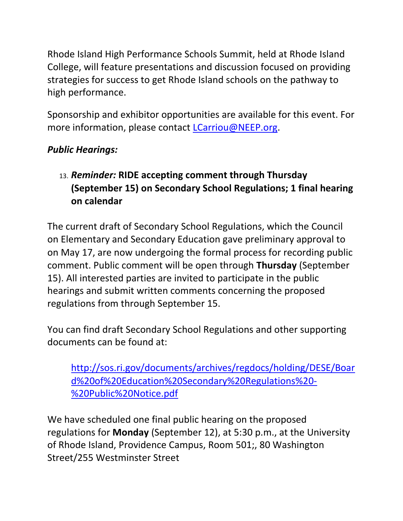Rhode Island High Performance Schools Summit, held at Rhode Island College, will feature presentations and discussion focused on providing strategies for success to get Rhode Island schools on the pathway to high performance.

Sponsorship and exhibitor opportunities are available for this event. For more information, please contact [LCarriou@NEEP.org.](http://LCarriou@neep.org/)

# *Public Hearings:*

# <span id="page-17-0"></span>13. *Reminder:* **RIDE accepting comment through Thursday (September 15) on Secondary School Regulations; 1 final hearing on calendar**

The current draft of Secondary School Regulations, which the Council on Elementary and Secondary Education gave preliminary approval to on May 17, are now undergoing the formal process for recording public comment. Public comment will be open through **Thursday** (September 15). All interested parties are invited to participate in the public hearings and submit written comments concerning the proposed regulations from through September 15.

You can find draft Secondary School Regulations and other supporting documents can be found at:

[http://sos.ri.gov/documents/archives/regdocs/holding/DESE/Boar](http://sos.ri.gov/documents/archives/regdocs/holding/DESE/Board%20of%20Education%20Secondary%20Regulations%20-%20Public%20Notice.pdf) [d%20of%20Education%20Secondary%20Regulations%20-](http://sos.ri.gov/documents/archives/regdocs/holding/DESE/Board%20of%20Education%20Secondary%20Regulations%20-%20Public%20Notice.pdf) [%20Public%20Notice.pdf](http://sos.ri.gov/documents/archives/regdocs/holding/DESE/Board%20of%20Education%20Secondary%20Regulations%20-%20Public%20Notice.pdf)

We have scheduled one final public hearing on the proposed regulations for **Monday** (September 12), at 5:30 p.m., at the University of Rhode Island, Providence Campus, Room 501;, 80 Washington Street/255 Westminster Street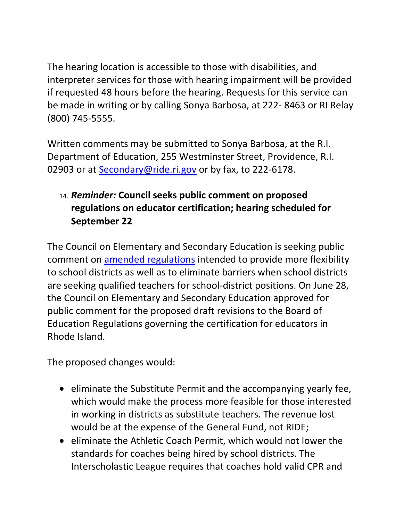The hearing location is accessible to those with disabilities, and interpreter services for those with hearing impairment will be provided if requested 48 hours before the hearing. Requests for this service can be made in writing or by calling Sonya Barbosa, at 222- 8463 or RI Relay (800) 745-5555.

Written comments may be submitted to Sonya Barbosa, at the R.I. Department of Education, 255 Westminster Street, Providence, R.I. 02903 or at [Secondary@ride.ri.gov](mailto:Secondary@ride.ri.gov) or by fax, to 222-6178.

# <span id="page-18-0"></span>14. *Reminder:* **Council seeks public comment on proposed regulations on educator certification; hearing scheduled for September 22**

The Council on Elementary and Secondary Education is seeking public comment on [amended regulations](http://ride.ri.gov/Portals/0/Uploads/Documents/CESE/Certification_Regulations_Proposed_Amendments_2016.pdf) intended to provide more flexibility to school districts as well as to eliminate barriers when school districts are seeking qualified teachers for school-district positions. On June 28, the Council on Elementary and Secondary Education approved for public comment for the proposed draft revisions to the Board of Education Regulations governing the certification for educators in Rhode Island.

The proposed changes would:

- eliminate the Substitute Permit and the accompanying yearly fee, which would make the process more feasible for those interested in working in districts as substitute teachers. The revenue lost would be at the expense of the General Fund, not RIDE;
- eliminate the Athletic Coach Permit, which would not lower the standards for coaches being hired by school districts. The Interscholastic League requires that coaches hold valid CPR and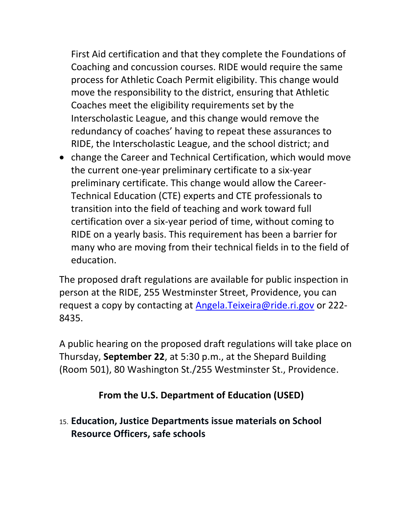First Aid certification and that they complete the Foundations of Coaching and concussion courses. RIDE would require the same process for Athletic Coach Permit eligibility. This change would move the responsibility to the district, ensuring that Athletic Coaches meet the eligibility requirements set by the Interscholastic League, and this change would remove the redundancy of coaches' having to repeat these assurances to RIDE, the Interscholastic League, and the school district; and

• change the Career and Technical Certification, which would move the current one-year preliminary certificate to a six-year preliminary certificate. This change would allow the Career-Technical Education (CTE) experts and CTE professionals to transition into the field of teaching and work toward full certification over a six-year period of time, without coming to RIDE on a yearly basis. This requirement has been a barrier for many who are moving from their technical fields in to the field of education.

The proposed draft regulations are available for public inspection in person at the RIDE, 255 Westminster Street, Providence, you can request a copy by contacting at [Angela.Teixeira@ride.ri.gov](mailto:Angela.Teixeira@ride.ri.gov) or 222- 8435.

A public hearing on the proposed draft regulations will take place on Thursday, **September 22**, at 5:30 p.m., at the Shepard Building (Room 501), 80 Washington St./255 Westminster St., Providence.

## **From the U.S. Department of Education (USED)**

<span id="page-19-0"></span>15. **Education, Justice Departments issue materials on School Resource Officers, safe schools**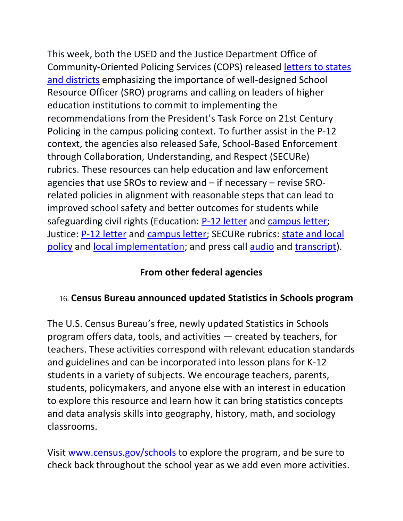This week, both the USED and the Justice Department Office of Community-Oriented Policing Services (COPS) released [letters to states](http://www.ed.gov/news/press-releases/obama-administration-releases-resources-schools-colleges-ensure-appropriate-use-school-resource-officers-and-campus-police)  [and districts](http://www.ed.gov/news/press-releases/obama-administration-releases-resources-schools-colleges-ensure-appropriate-use-school-resource-officers-and-campus-police) emphasizing the importance of well-designed School Resource Officer (SRO) programs and calling on leaders of higher education institutions to commit to implementing the recommendations from the President's Task Force on 21st Century Policing in the campus policing context. To further assist in the P-12 context, the agencies also released Safe, School-Based Enforcement through Collaboration, Understanding, and Respect (SECURe) rubrics. These resources can help education and law enforcement agencies that use SROs to review and – if necessary – revise SROrelated policies in alignment with reasonable steps that can lead to improved school safety and better outcomes for students while safeguarding civil rights (Education: [P-12 letter](http://www2.ed.gov/policy/gen/guid/school-discipline/files/ed-letter-on-sros-in-schools-sept-8-2016.pdf) and [campus letter;](http://www.ifap.ed.gov/dpcletters/attachments/GEN1617.pdf) Justice: [P-12 letter](http://cops.usdoj.gov/pdf/sro/COPS_Office_Director_Letter_on_SROs.pdf) and [campus letter;](http://cops.usdoj.gov/pdf/sro/COPS_Office_Director_Campus_Letter.pdf) SECURe rubrics: [state and local](http://www2.ed.gov/policy/gen/guid/school-discipline/files/sro-state-and-local-policy-rubric.pdf)  [policy](http://www2.ed.gov/policy/gen/guid/school-discipline/files/sro-state-and-local-policy-rubric.pdf) and [local implementation;](http://www2.ed.gov/policy/gen/guid/school-discipline/files/sro-local-implementation-rubric.pdf) and press call [audio](http://www2.ed.gov/news/av/audio/2016/09082016.mp3) and [transcript\)](http://www2.ed.gov/news/av/audio/2016/09082016.doc).

#### **From other federal agencies**

## <span id="page-20-0"></span>16. **Census Bureau announced updated Statistics in Schools program**

The U.S. Census Bureau's free, newly updated Statistics in Schools program offers data, tools, and activities — created by teachers, for teachers. These activities correspond with relevant education standards and guidelines and can be incorporated into lesson plans for K-12 students in a variety of subjects. We encourage teachers, parents, students, policymakers, and anyone else with an interest in education to explore this resource and learn how it can bring statistics concepts and data analysis skills into geography, history, math, and sociology classrooms.

Visit [www.census.gov/schools](http://links.govdelivery.com/track?type=click&enid=ZWFzPTEmbWFpbGluZ2lkPTIwMTYwOTA4LjYzNTE0NDcxJm1lc3NhZ2VpZD1NREItUFJELUJVTC0yMDE2MDkwOC42MzUxNDQ3MSZkYXRhYmFzZWlkPTEwMDEmc2VyaWFsPTE3MDk5NDQ5JmVtYWlsaWQ9ZWxsaW90LmtyaWVnZXJAcmlkZS5yaS5nb3YmdXNlcmlkPWVsbGlvdC5rcmllZ2VyQHJpZGUucmkuZ292JmZsPSZleHRyYT1NdWx0aXZhcmlhdGVJZD0mJiY=&&&100&&&http://www.census.gov/schools/?eml=gd&utm_medium=email&utm_source=govdelivery) to explore the program, and be sure to check back throughout the school year as we add even more activities.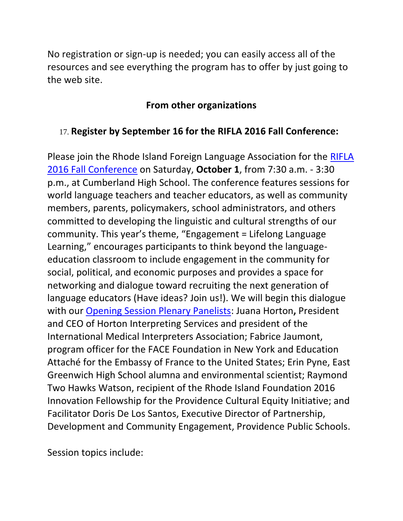No registration or sign-up is needed; you can easily access all of the resources and see everything the program has to offer by just going to the web site.

#### **From other organizations**

#### <span id="page-21-0"></span>17. **Register by September 16 for the RIFLA 2016 Fall Conference:**

Please join the Rhode Island Foreign Language Association for the [RIFLA](http://rifla.org/event-2236007)  [2016 Fall Conference](http://rifla.org/event-2236007) on Saturday, **October 1**, from 7:30 a.m. - 3:30 p.m., at Cumberland High School. The conference features sessions for world language teachers and teacher educators, as well as community members, parents, policymakers, school administrators, and others committed to developing the linguistic and cultural strengths of our community. This year's theme, "Engagement = Lifelong Language Learning," encourages participants to think beyond the languageeducation classroom to include engagement in the community for social, political, and economic purposes and provides a space for networking and dialogue toward recruiting the next generation of language educators (Have ideas? Join us!). We will begin this dialogue with our [Opening Session Plenary Panelists:](http://rifla.org/resources/Documents/RIFLA16_FlyerPlenary.pdf) Juana Horton**,** President and CEO of Horton Interpreting Services and president of the International Medical Interpreters Association; Fabrice Jaumont, program officer for the FACE Foundation in New York and Education Attaché for the Embassy of France to the United States; Erin Pyne, East Greenwich High School alumna and environmental scientist; Raymond Two Hawks Watson, recipient of the Rhode Island Foundation 2016 Innovation Fellowship for the Providence Cultural Equity Initiative; and Facilitator Doris De Los Santos, Executive Director of Partnership, Development and Community Engagement, Providence Public Schools.

Session topics include: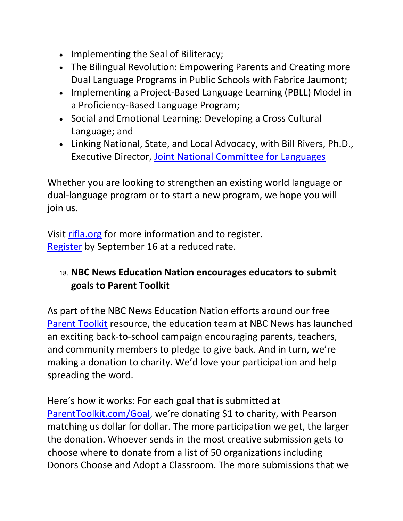- Implementing the Seal of Biliteracy;
- The Bilingual Revolution: Empowering Parents and Creating more Dual Language Programs in Public Schools with Fabrice Jaumont;
- Implementing a Project-Based Language Learning (PBLL) Model in a Proficiency-Based Language Program;
- Social and Emotional Learning: Developing a Cross Cultural Language; and
- Linking National, State, and Local Advocacy, with Bill Rivers, Ph.D., Executive Director, [Joint National Committee for Languages](http://www.languagepolicy.org/)

Whether you are looking to strengthen an existing world language or dual-language program or to start a new program, we hope you will join us.

Visit [rifla.org](http://rifla.org/) for more information and to register. [Register](http://rifla.org/event-2236007) by September 16 at a reduced rate.

## <span id="page-22-0"></span>18. **NBC News Education Nation encourages educators to submit goals to Parent Toolkit**

As part of the NBC News Education Nation efforts around our free [Parent Toolkit](http://www.parenttoolkit.com/index.cfm?objectid=4278F140-58EB-11E6-AF980050569A5318) resource, the education team at NBC News has launched an exciting back-to-school campaign encouraging parents, teachers, and community members to pledge to give back. And in turn, we're making a donation to charity. We'd love your participation and help spreading the word.

Here's how it works: For each goal that is submitted at [ParentToolkit.com/Goal,](http://www.parenttoolkit.com/index.cfm?objectid=4278F140-58EB-11E6-AF980050569A5318) we're donating \$1 to charity, with Pearson matching us dollar for dollar. The more participation we get, the larger the donation. Whoever sends in the most creative submission gets to choose where to donate from a list of 50 organizations including Donors Choose and Adopt a Classroom. The more submissions that we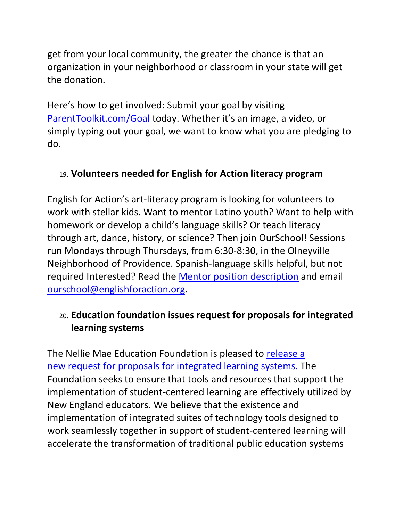get from your local community, the greater the chance is that an organization in your neighborhood or classroom in your state will get the donation.

Here's how to get involved: Submit your goal by visiting [ParentToolkit.com/Goal](http://www.parenttoolkit.com/index.cfm?objectid=4278F140-58EB-11E6-AF980050569A5318) today. Whether it's an image, a video, or simply typing out your goal, we want to know what you are pledging to do.

## <span id="page-23-0"></span>19. **Volunteers needed for English for Action literacy program**

English for Action's art-literacy program is looking for volunteers to work with stellar kids. Want to mentor Latino youth? Want to help with homework or develop a child's language skills? Or teach literacy through art, dance, history, or science? Then join OurSchool! Sessions run Mondays through Thursdays, from 6:30-8:30, in the Olneyville Neighborhood of Providence. Spanish-language skills helpful, but not required Interested? Read the [Mentor position description](https://drive.google.com/open?id=0BwnefT8FH6ZoUURxT290MUpPTlU) and email [ourschool@englishforaction.org.](mailto:ourschool@englishforaction.org)

# <span id="page-23-1"></span>20. **Education foundation issues request for proposals for integrated learning systems**

The Nellie Mae Education Foundation is pleased to [release a](http://www2.nmefoundation.org/e/30762/grants-grant-opportunities/9j4y97/316426012)  [new](http://www2.nmefoundation.org/e/30762/grants-grant-opportunities/9j4y97/316426012) [request for proposals](http://www2.nmefoundation.org/e/30762/grants-grant-opportunities/9j4y97/316426012) [for integrated learning systems.](http://www2.nmefoundation.org/e/30762/grants-grant-opportunities/9j4y97/316426012) The Foundation seeks to ensure that tools and resources that support the implementation of student-centered learning are effectively utilized by New England educators. We believe that the existence and implementation of integrated suites of technology tools designed to work seamlessly together in support of student-centered learning will accelerate the transformation of traditional public education systems